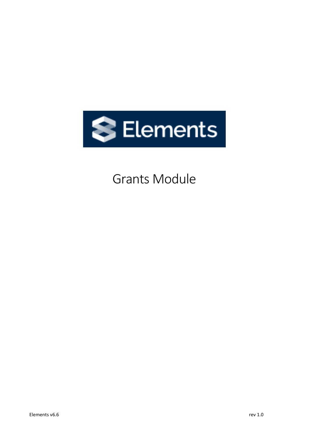

# Grants Module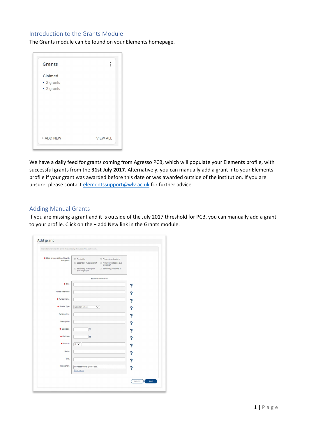# Introduction to the Grants Module

The Grants module can be found on your Elements homepage.

| <b>Grants</b> |                 |
|---------------|-----------------|
| Claimed       |                 |
| • 2 grants    |                 |
| • 2 grants    |                 |
|               |                 |
|               |                 |
|               |                 |
|               |                 |
|               |                 |
|               |                 |
| + ADD NEW     | <b>VIEW ALL</b> |

We have a daily feed for grants coming from Agresso PCB, which will populate your Elements profile, with successful grants from the **31st July 2017**. Alternatively, you can manually add a grant into your Elements profile if your grant was awarded before this date or was awarded outside of the institution. If you are unsure, please contact [elementssupport@wlv.ac.uk](mailto:elementssupport@wlv.ac.uk) for further advice.

## Adding Manual Grants

If you are missing a grant and it is outside of the July 2017 threshold for PCB, you can manually add a grant to your profile. Click on the + add New link in the Grants module.

| * What is your relationship with<br>this grant? | $\Box$ Funded by                              | Primary investigator of                   |   |
|-------------------------------------------------|-----------------------------------------------|-------------------------------------------|---|
|                                                 | $\Box$ Secondary investigator of              | Primary investigator (sub-<br>project) of |   |
|                                                 | Secondary investigator<br>(sub-project) of    | Senior/key personnel of                   |   |
|                                                 |                                               | Essential Information                     |   |
| <b>*</b> Title                                  |                                               |                                           |   |
| Funder reference                                |                                               |                                           | A |
| <b>*</b> Funder name                            |                                               |                                           | ĥ |
| <b>*</b> Funder Type                            | [Select an option]<br>$\check{ }$             |                                           |   |
|                                                 |                                               |                                           | Ŧ |
| Funding type                                    |                                               |                                           | ? |
| Description                                     |                                               |                                           | 7 |
| * Start date                                    | 曲                                             |                                           |   |
| * End date                                      | 曲                                             |                                           | ? |
| * Amount                                        | GE V                                          |                                           | ? |
| <b>Status</b>                                   |                                               |                                           |   |
| URL                                             |                                               |                                           | ? |
|                                                 |                                               |                                           | A |
| Researchers                                     | : No Researchers - please add<br>Add a person |                                           | ? |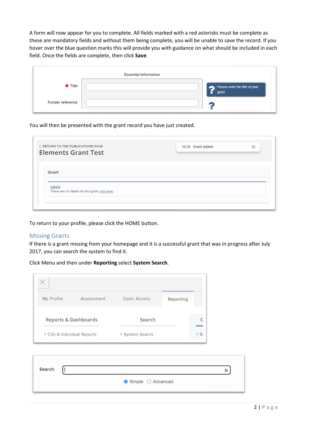A form will now appear for you to complete. All fields marked with a red asterisks must be complete as these are mandatory fields and without them being complete, you will be unable to save the record. If you hover over the blue question marks this will provide you with guidance on what should be included in each field. Once the fields are complete, then click **Save**.

|                         | <b>Essential Information</b> |                                               |
|-------------------------|------------------------------|-----------------------------------------------|
| <b>*</b> Title          |                              | Please enter the title of your<br>н<br>grant. |
| <b>Funder reference</b> |                              |                                               |

### You will then be presented with the grant record you have just created.

| 14:38 Grant added. | $\times$ |
|--------------------|----------|
|                    |          |
|                    |          |
|                    |          |
|                    |          |
|                    |          |
|                    |          |

To return to your profile, please click the HOME button.

#### Missing Grants

If there is a grant missing from your homepage and it is a successful grant that was in progress after July 2017, you can search the system to find it.

#### Click Menu and then under **Reporting** select **System Search**.

| My Profile                 | Assessment           | Open Access     | Reporting |         |
|----------------------------|----------------------|-----------------|-----------|---------|
|                            |                      |                 |           |         |
|                            | Reports & Dashboards | Search          |           |         |
| > CVs & Individual Reports |                      | > System Search |           | $> R_1$ |

| Search: |                                   |  |
|---------|-----------------------------------|--|
|         | $\bullet$ Simple $\circ$ Advanced |  |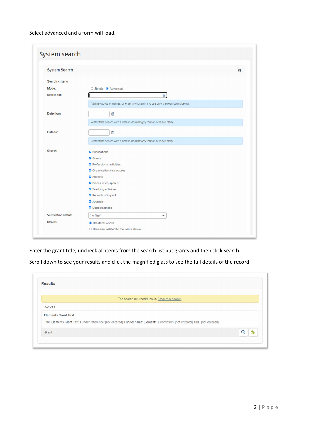Select advanced and a form will load.

| <b>System Search</b> |                                                                                    | $\bf{0}$ |
|----------------------|------------------------------------------------------------------------------------|----------|
| Search criteria      |                                                                                    |          |
| Mode:                | ○ Simple ● Advanced                                                                |          |
| Search for:          | $\pmb{\times}$                                                                     |          |
|                      | Add keywords or names, or enter a wildcard (") to use only the restrictions below. |          |
| Date from:           | ₩                                                                                  |          |
|                      | Restrict the search with a date in dd/mm/yyyy format, or leave blank.              |          |
| Date to:             | ₩                                                                                  |          |
|                      | Restrict the search with a date in dd/mm/yyyy format, or leave blank.              |          |
| Search:              | Publications                                                                       |          |
|                      | <b>Z</b> Grants                                                                    |          |
|                      | Professional activities                                                            |          |
|                      | Organisational structures                                                          |          |
|                      | Projects                                                                           |          |
|                      | Pieces of equipment                                                                |          |
|                      | Z Teaching activities                                                              |          |
|                      | Records of impact                                                                  |          |
|                      | <b>Z</b> Journals                                                                  |          |
|                      | Deposit advice                                                                     |          |
| Verification status: | [no filter]<br>$\check{~}$                                                         |          |

Enter the grant title, uncheck all items from the search list but grants and then click search.

Scroll down to see your results and click the magnified glass to see the full details of the record.

|                            | The search returned 1 result. Save this search.                                                                                    |  |
|----------------------------|------------------------------------------------------------------------------------------------------------------------------------|--|
| $1-1$ of 1                 |                                                                                                                                    |  |
| <b>Elements Grant Test</b> |                                                                                                                                    |  |
|                            | Title: Elements Grant Test; Funder reference: [not entered]; Funder name: Elements; Description: [not entered]; URL: [not entered] |  |
| Grant                      |                                                                                                                                    |  |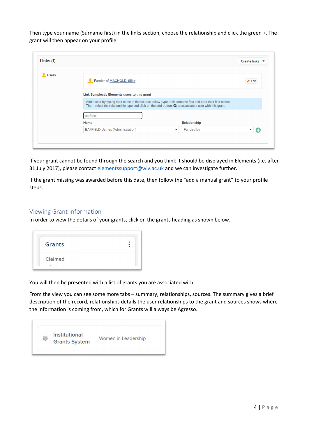Then type your name (Surname first) in the links section, choose the relationship and click the green +. The grant will then appear on your profile.

| Links (1) |                                                                                                                                                                                                                                             |                          | Create links <b>v</b> |
|-----------|---------------------------------------------------------------------------------------------------------------------------------------------------------------------------------------------------------------------------------------------|--------------------------|-----------------------|
| Users     | Funder of MACHOLD, Silke                                                                                                                                                                                                                    |                          | Gelit                 |
|           | Link Symplectic Elements users to this grant                                                                                                                                                                                                |                          |                       |
|           | Add a user by typing their name in the textbox below (type their surname first and then their first name).<br>Then, select the relationship type and click on the add button $\langle \bullet \rangle$ to associate a user with this grant. |                          |                       |
|           | barfield                                                                                                                                                                                                                                    |                          |                       |
|           | <b>Name</b>                                                                                                                                                                                                                                 | Relationship             |                       |
|           | BARFIELD, James (Administration)                                                                                                                                                                                                            | Funded by<br>$\check{~}$ | $\check{ }$<br>œ      |

If your grant cannot be found through the search and you think it should be displayed in Elements (i.e. after 31 July 2017), please contact [elementssupport@wlv.ac.uk](mailto:elementssupport@wlv.ac.uk) and we can investigate further.

If the grant missing was awarded before this date, then follow the "add a manual grant" to your profile steps.

### Viewing Grant Information

In order to view the details of your grants, click on the grants heading as shown below.

| Grants  |  |
|---------|--|
| Claimed |  |

You will then be presented with a list of grants you are associated with.

From the view you can see some more tabs – summary, relationships, sources. The summary gives a brief description of the record, relationships details the user relationships to the grant and sources shows where the information is coming from, which for Grants will always be Agresso.

|   | <b>Institutional</b> |                     |
|---|----------------------|---------------------|
| ₩ | <b>Grants System</b> | Women in Leadership |